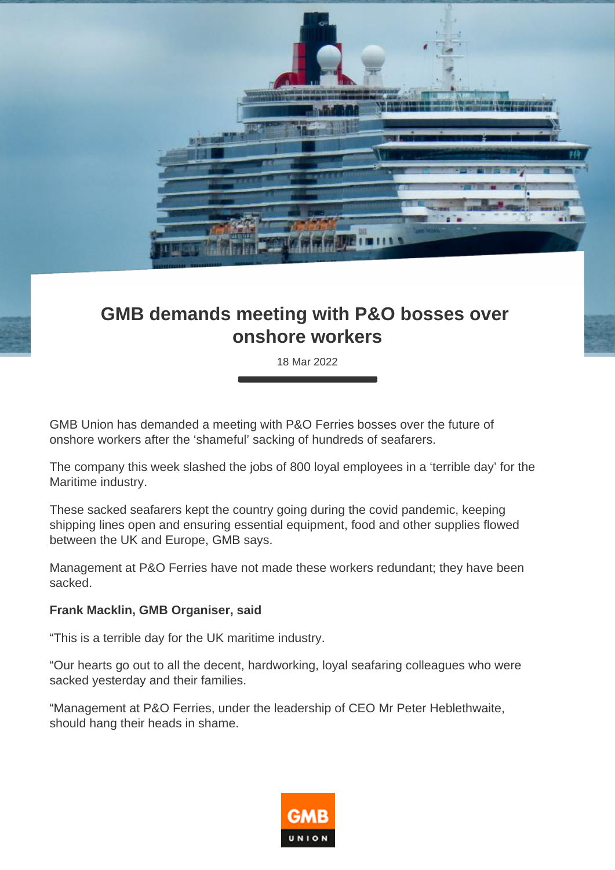

## **GMB demands meeting with P&O bosses over onshore workers**

18 Mar 2022

GMB Union has demanded a meeting with P&O Ferries bosses over the future of onshore workers after the 'shameful' sacking of hundreds of seafarers.

The company this week slashed the jobs of 800 loyal employees in a 'terrible day' for the Maritime industry.

These sacked seafarers kept the country going during the covid pandemic, keeping shipping lines open and ensuring essential equipment, food and other supplies flowed between the UK and Europe, GMB says.

Management at P&O Ferries have not made these workers redundant; they have been sacked.

## **Frank Macklin, GMB Organiser, said**

"This is a terrible day for the UK maritime industry.

"Our hearts go out to all the decent, hardworking, loyal seafaring colleagues who were sacked yesterday and their families.

"Management at P&O Ferries, under the leadership of CEO Mr Peter Heblethwaite, should hang their heads in shame.